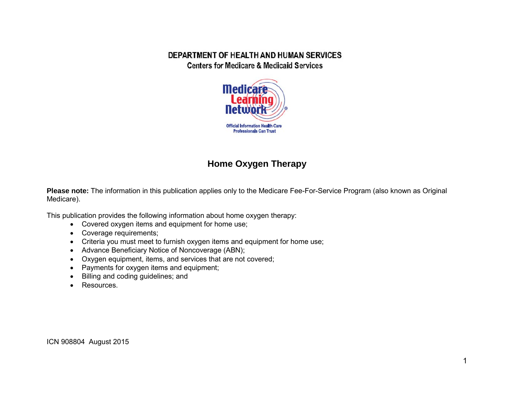#### DEPARTMENT OF HEALTH AND HUMAN SERVICES **Centers for Medicare & Medicaid Services**



# **Home Oxygen Therapy**

**Please note:** The information in this publication applies only to the Medicare Fee-For-Service Program (also known as Original Medicare).

This publication provides the following information about home oxygen therapy:

- Covered oxygen items and equipment for home use;
- Coverage requirements;
- Criteria you must meet to furnish oxygen items and equipment for home use;
- Advance Beneficiary Notice of Noncoverage (ABN);
- Oxygen equipment, items, and services that are not covered;
- Payments for oxygen items and equipment;
- Billing and coding guidelines; and
- Resources.

ICN 908804 August 2015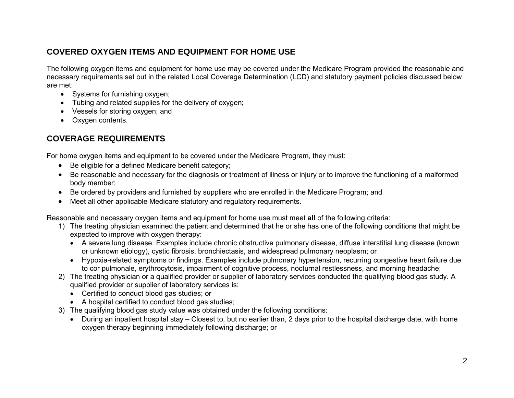# **COVERED OXYGEN ITEMS AND EQUIPMENT FOR HOME USE**

The following oxygen items and equipment for home use may be covered under the Medicare Program provided the reasonable and necessary requirements set out in the related Local Coverage Determination (LCD) and statutory payment policies discussed below are met:

- Systems for furnishing oxygen;
- Tubing and related supplies for the delivery of oxygen;
- Vessels for storing oxygen; and
- Oxygen contents.

# **COVERAGE REQUIREMENTS**

For home oxygen items and equipment to be covered under the Medicare Program, they must:

- Be eligible for a defined Medicare benefit category;
- Be reasonable and necessary for the diagnosis or treatment of illness or injury or to improve the functioning of a malformed body member;
- Be ordered by providers and furnished by suppliers who are enrolled in the Medicare Program; and
- Meet all other applicable Medicare statutory and regulatory requirements.

Reasonable and necessary oxygen items and equipment for home use must meet **all** of the following criteria:

- 1) The treating physician examined the patient and determined that he or she has one of the following conditions that might be expected to improve with oxygen therapy:
	- A severe lung disease. Examples include chronic obstructive pulmonary disease, diffuse interstitial lung disease (known or unknown etiology), cystic fibrosis, bronchiectasis, and widespread pulmonary neoplasm; or
	- Hypoxia-related symptoms or findings. Examples include pulmonary hypertension, recurring congestive heart failure due to cor pulmonale, erythrocytosis, impairment of cognitive process, nocturnal restlessness, and morning headache;
- 2) The treating physician or a qualified provider or supplier of laboratory services conducted the qualifying blood gas study. A qualified provider or supplier of laboratory services is:
	- Certified to conduct blood gas studies; or
	- A hospital certified to conduct blood gas studies;
- 3) The qualifying blood gas study value was obtained under the following conditions:
	- During an inpatient hospital stay Closest to, but no earlier than, 2 days prior to the hospital discharge date, with home oxygen therapy beginning immediately following discharge; or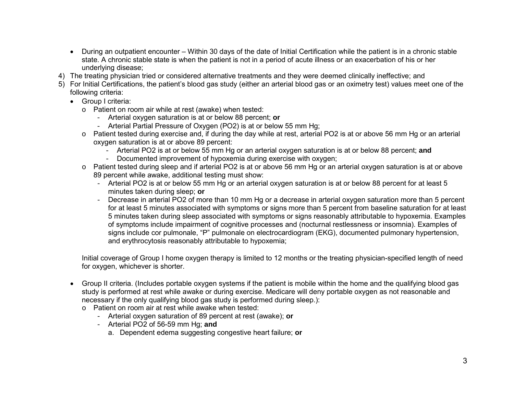- During an outpatient encounter Within 30 days of the date of Initial Certification while the patient is in a chronic stable state. A chronic stable state is when the patient is not in a period of acute illness or an exacerbation of his or her underlying disease;
- 4) The treating physician tried or considered alternative treatments and they were deemed clinically ineffective; and
- 5) For Initial Certifications, the patient's blood gas study (either an arterial blood gas or an oximetry test) values meet one of the following criteria:
	- Group I criteria:
		- o Patient on room air while at rest (awake) when tested:
			- Arterial oxygen saturation is at or below 88 percent; **or**
			- Arterial Partial Pressure of Oxygen (PO2) is at or below 55 mm Hg;
		- o Patient tested during exercise and, if during the day while at rest, arterial PO2 is at or above 56 mm Hg or an arterial oxygen saturation is at or above 89 percent:
			- Arterial PO2 is at or below 55 mm Hg or an arterial oxygen saturation is at or below 88 percent; **and**
			- Documented improvement of hypoxemia during exercise with oxygen;
		- o Patient tested during sleep and if arterial PO2 is at or above 56 mm Hg or an arterial oxygen saturation is at or above 89 percent while awake, additional testing must show:
			- Arterial PO2 is at or below 55 mm Hg or an arterial oxygen saturation is at or below 88 percent for at least 5 minutes taken during sleep; **or**
			- Decrease in arterial PO2 of more than 10 mm Hg or a decrease in arterial oxygen saturation more than 5 percent for at least 5 minutes associated with symptoms or signs more than 5 percent from baseline saturation for at least 5 minutes taken during sleep associated with symptoms or signs reasonably attributable to hypoxemia. Examples of symptoms include impairment of cognitive processes and (nocturnal restlessness or insomnia). Examples of signs include cor pulmonale, "P" pulmonale on electrocardiogram (EKG), documented pulmonary hypertension, and erythrocytosis reasonably attributable to hypoxemia;

Initial coverage of Group I home oxygen therapy is limited to 12 months or the treating physician-specified length of need for oxygen, whichever is shorter.

- Group II criteria. (Includes portable oxygen systems if the patient is mobile within the home and the qualifying blood gas study is performed at rest while awake or during exercise. Medicare will deny portable oxygen as not reasonable and necessary if the only qualifying blood gas study is performed during sleep.):
	- o Patient on room air at rest while awake when tested:
		- Arterial oxygen saturation of 89 percent at rest (awake); **or**
		- Arterial PO2 of 56-59 mm Hg; **and**
			- a. Dependent edema suggesting congestive heart failure; **or**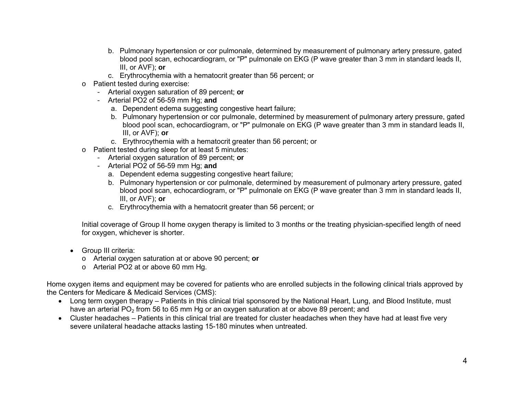- b. Pulmonary hypertension or cor pulmonale, determined by measurement of pulmonary artery pressure, gated blood pool scan, echocardiogram, or "P" pulmonale on EKG (P wave greater than 3 mm in standard leads II, III, or AVF); **or**
- c. Erythrocythemia with a hematocrit greater than 56 percent; or
- o Patient tested during exercise:
	- Arterial oxygen saturation of 89 percent; **or**
	- Arterial PO2 of 56-59 mm Hg; **and**
		- a. Dependent edema suggesting congestive heart failure;
		- b. Pulmonary hypertension or cor pulmonale, determined by measurement of pulmonary artery pressure, gated blood pool scan, echocardiogram, or "P" pulmonale on EKG (P wave greater than 3 mm in standard leads II, III, or AVF); **or**
		- c. Erythrocythemia with a hematocrit greater than 56 percent; or
- o Patient tested during sleep for at least 5 minutes:
	- Arterial oxygen saturation of 89 percent; **or**
	- Arterial PO2 of 56-59 mm Hg; **and**
		- a. Dependent edema suggesting congestive heart failure;
		- b. Pulmonary hypertension or cor pulmonale, determined by measurement of pulmonary artery pressure, gated blood pool scan, echocardiogram, or "P" pulmonale on EKG (P wave greater than 3 mm in standard leads II, III, or AVF); **or**
		- c. Erythrocythemia with a hematocrit greater than 56 percent; or

Initial coverage of Group II home oxygen therapy is limited to 3 months or the treating physician-specified length of need for oxygen, whichever is shorter.

- Group III criteria:
	- o Arterial oxygen saturation at or above 90 percent; **or**
	- o Arterial PO2 at or above 60 mm Hg.

Home oxygen items and equipment may be covered for patients who are enrolled subjects in the following clinical trials approved by the Centers for Medicare & Medicaid Services (CMS):

- Long term oxygen therapy Patients in this clinical trial sponsored by the National Heart, Lung, and Blood Institute, must have an arterial PO<sub>2</sub> from 56 to 65 mm Hg or an oxygen saturation at or above 89 percent; and
- Cluster headaches Patients in this clinical trial are treated for cluster headaches when they have had at least five very severe unilateral headache attacks lasting 15-180 minutes when untreated.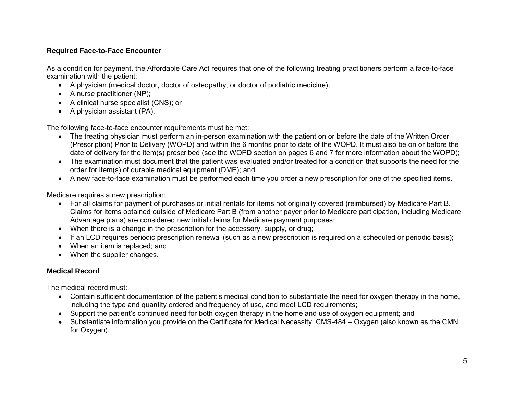#### **Required Face-to-Face Encounter**

As a condition for payment, the Affordable Care Act requires that one of the following treating practitioners perform a face-to-face examination with the patient:

- A physician (medical doctor, doctor of osteopathy, or doctor of podiatric medicine);
- A nurse practitioner (NP);
- A clinical nurse specialist (CNS); or
- A physician assistant (PA).

The following face-to-face encounter requirements must be met:

- The treating physician must perform an in-person examination with the patient on or before the date of the Written Order (Prescription) Prior to Delivery (WOPD) and within the 6 months prior to date of the WOPD. It must also be on or before the date of delivery for the item(s) prescribed (see the WOPD section on pages 6 and 7 for more information about the WOPD);
- The examination must document that the patient was evaluated and/or treated for a condition that supports the need for the order for item(s) of durable medical equipment (DME); and
- A new face-to-face examination must be performed each time you order a new prescription for one of the specified items.

Medicare requires a new prescription:

- For all claims for payment of purchases or initial rentals for items not originally covered (reimbursed) by Medicare Part B. Claims for items obtained outside of Medicare Part B (from another payer prior to Medicare participation, including Medicare Advantage plans) are considered new initial claims for Medicare payment purposes;
- When there is a change in the prescription for the accessory, supply, or drug;
- If an LCD requires periodic prescription renewal (such as a new prescription is required on a scheduled or periodic basis);
- When an item is replaced: and
- When the supplier changes.

### **Medical Record**

The medical record must:

- Contain sufficient documentation of the patient's medical condition to substantiate the need for oxygen therapy in the home, including the type and quantity ordered and frequency of use, and meet LCD requirements;
- Support the patient's continued need for both oxygen therapy in the home and use of oxygen equipment; and
- Substantiate information you provide on the Certificate for Medical Necessity, CMS-484 Oxygen (also known as the CMN for Oxygen).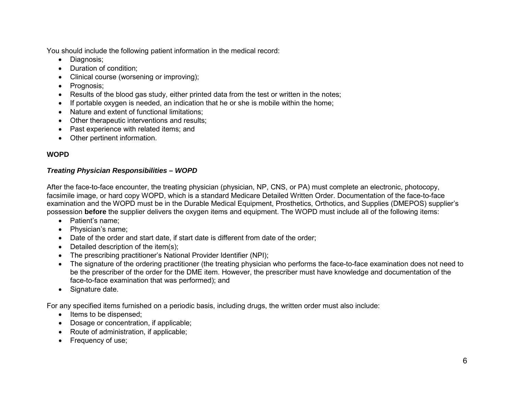You should include the following patient information in the medical record:

- Diagnosis;
- Duration of condition:
- Clinical course (worsening or improving);
- Prognosis;
- Results of the blood gas study, either printed data from the test or written in the notes;
- If portable oxygen is needed, an indication that he or she is mobile within the home;
- Nature and extent of functional limitations;
- Other therapeutic interventions and results;
- Past experience with related items; and
- Other pertinent information.

### **WOPD**

#### *Treating Physician Responsibilities – WOPD*

After the face-to-face encounter, the treating physician (physician, NP, CNS, or PA) must complete an electronic, photocopy, facsimile image, or hard copy WOPD, which is a standard Medicare Detailed Written Order. Documentation of the face-to-face examination and the WOPD must be in the Durable Medical Equipment, Prosthetics, Orthotics, and Supplies (DMEPOS) supplier's possession **before** the supplier delivers the oxygen items and equipment. The WOPD must include all of the following items:

- Patient's name;
- Physician's name;
- Date of the order and start date, if start date is different from date of the order;
- Detailed description of the item(s);
- The prescribing practitioner's National Provider Identifier (NPI);
- The signature of the ordering practitioner (the treating physician who performs the face-to-face examination does not need to be the prescriber of the order for the DME item. However, the prescriber must have knowledge and documentation of the face-to-face examination that was performed); and
- Signature date.

For any specified items furnished on a periodic basis, including drugs, the written order must also include:

- Items to be dispensed;
- Dosage or concentration, if applicable;
- Route of administration, if applicable;
- Frequency of use;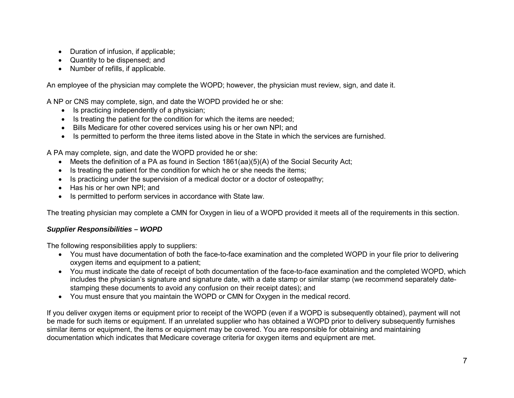- Duration of infusion, if applicable;
- Quantity to be dispensed; and
- Number of refills, if applicable.

An employee of the physician may complete the WOPD; however, the physician must review, sign, and date it.

A NP or CNS may complete, sign, and date the WOPD provided he or she:

- Is practicing independently of a physician;
- Is treating the patient for the condition for which the items are needed;
- Bills Medicare for other covered services using his or her own NPI; and
- Is permitted to perform the three items listed above in the State in which the services are furnished.

A PA may complete, sign, and date the WOPD provided he or she:

- Meets the definition of a PA as found in Section 1861(aa)(5)(A) of the Social Security Act;
- Is treating the patient for the condition for which he or she needs the items;
- Is practicing under the supervision of a medical doctor or a doctor of osteopathy;
- Has his or her own NPI: and
- Is permitted to perform services in accordance with State law.

The treating physician may complete a CMN for Oxygen in lieu of a WOPD provided it meets all of the requirements in this section.

#### *Supplier Responsibilities – WOPD*

The following responsibilities apply to suppliers:

- You must have documentation of both the face-to-face examination and the completed WOPD in your file prior to delivering oxygen items and equipment to a patient;
- You must indicate the date of receipt of both documentation of the face-to-face examination and the completed WOPD, which includes the physician's signature and signature date, with a date stamp or similar stamp (we recommend separately datestamping these documents to avoid any confusion on their receipt dates); and
- You must ensure that you maintain the WOPD or CMN for Oxygen in the medical record.

If you deliver oxygen items or equipment prior to receipt of the WOPD (even if a WOPD is subsequently obtained), payment will not be made for such items or equipment. If an unrelated supplier who has obtained a WOPD prior to delivery subsequently furnishes similar items or equipment, the items or equipment may be covered. You are responsible for obtaining and maintaining documentation which indicates that Medicare coverage criteria for oxygen items and equipment are met.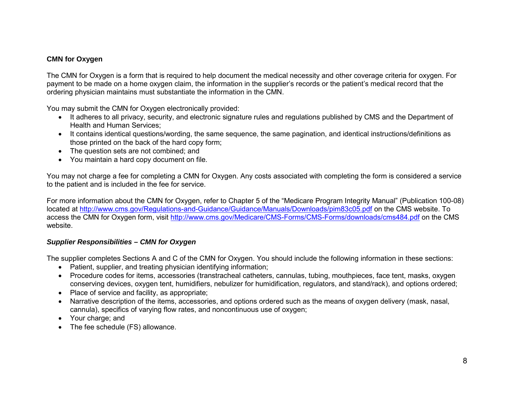#### **CMN for Oxygen**

The CMN for Oxygen is a form that is required to help document the medical necessity and other coverage criteria for oxygen. For payment to be made on a home oxygen claim, the information in the supplier's records or the patient's medical record that the ordering physician maintains must substantiate the information in the CMN.

You may submit the CMN for Oxygen electronically provided:

- It adheres to all privacy, security, and electronic signature rules and regulations published by CMS and the Department of Health and Human Services;
- It contains identical questions/wording, the same sequence, the same pagination, and identical instructions/definitions as those printed on the back of the hard copy form;
- The question sets are not combined; and
- You maintain a hard copy document on file.

You may not charge a fee for completing a CMN for Oxygen. Any costs associated with completing the form is considered a service to the patient and is included in the fee for service.

For more information about the CMN for Oxygen, refer to Chapter 5 of the "Medicare Program Integrity Manual" (Publication 100-08) located at<http://www.cms.gov/Regulations-and-Guidance/Guidance/Manuals/Downloads/pim83c05.pdf> on the CMS website. To access the CMN for Oxygen form, visit<http://www.cms.gov/Medicare/CMS-Forms/CMS-Forms/downloads/cms484.pdf> on the CMS website.

#### *Supplier Responsibilities – CMN for Oxygen*

The supplier completes Sections A and C of the CMN for Oxygen. You should include the following information in these sections:

- Patient, supplier, and treating physician identifying information;
- Procedure codes for items, accessories (transtracheal catheters, cannulas, tubing, mouthpieces, face tent, masks, oxygen conserving devices, oxygen tent, humidifiers, nebulizer for humidification, regulators, and stand/rack), and options ordered;
- Place of service and facility, as appropriate;
- Narrative description of the items, accessories, and options ordered such as the means of oxygen delivery (mask, nasal, cannula), specifics of varying flow rates, and noncontinuous use of oxygen;
- Your charge; and
- The fee schedule (FS) allowance.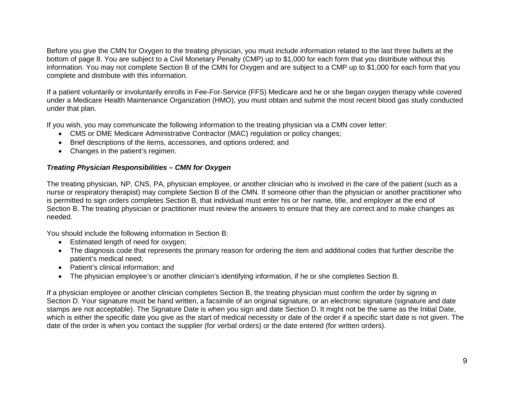Before you give the CMN for Oxygen to the treating physician, you must include information related to the last three bullets at the bottom of page 8. You are subject to a Civil Monetary Penalty (CMP) up to \$1,000 for each form that you distribute without this information. You may not complete Section B of the CMN for Oxygen and are subject to a CMP up to \$1,000 for each form that you complete and distribute with this information.

If a patient voluntarily or involuntarily enrolls in Fee-For-Service (FFS) Medicare and he or she began oxygen therapy while covered under a Medicare Health Maintenance Organization (HMO), you must obtain and submit the most recent blood gas study conducted under that plan.

If you wish, you may communicate the following information to the treating physician via a CMN cover letter:

- CMS or DME Medicare Administrative Contractor (MAC) regulation or policy changes;
- Brief descriptions of the items, accessories, and options ordered; and
- Changes in the patient's regimen.

#### *Treating Physician Responsibilities – CMN for Oxygen*

The treating physician, NP, CNS, PA, physician employee, or another clinician who is involved in the care of the patient (such as a nurse or respiratory therapist) may complete Section B of the CMN. If someone other than the physician or another practitioner who is permitted to sign orders completes Section B, that individual must enter his or her name, title, and employer at the end of Section B. The treating physician or practitioner must review the answers to ensure that they are correct and to make changes as needed.

You should include the following information in Section B:

- Estimated length of need for oxygen;
- The diagnosis code that represents the primary reason for ordering the item and additional codes that further describe the patient's medical need;
- Patient's clinical information; and
- The physician employee's or another clinician's identifying information, if he or she completes Section B.

If a physician employee or another clinician completes Section B, the treating physician must confirm the order by signing in Section D. Your signature must be hand written, a facsimile of an original signature, or an electronic signature (signature and date stamps are not acceptable). The Signature Date is when you sign and date Section D. It might not be the same as the Initial Date, which is either the specific date you give as the start of medical necessity or date of the order if a specific start date is not given. The date of the order is when you contact the supplier (for verbal orders) or the date entered (for written orders).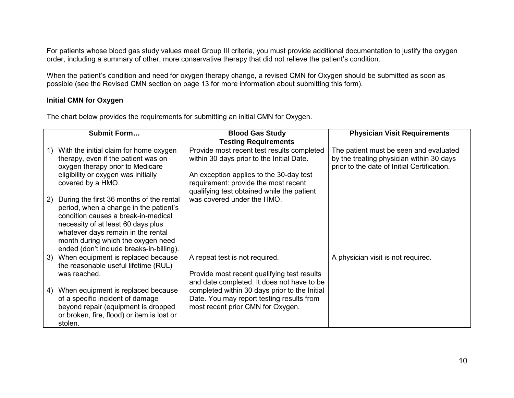For patients whose blood gas study values meet Group III criteria, you must provide additional documentation to justify the oxygen order, including a summary of other, more conservative therapy that did not relieve the patient's condition.

When the patient's condition and need for oxygen therapy change, a revised CMN for Oxygen should be submitted as soon as possible (see the Revised CMN section on page 13 for more information about submitting this form).

#### **Initial CMN for Oxygen**

The chart below provides the requirements for submitting an initial CMN for Oxygen.

| Submit Form |                                                                                                                                                                                                                                                                                         | <b>Blood Gas Study</b>                                                                                                                                                                                                   | <b>Physician Visit Requirements</b>                                                                                               |
|-------------|-----------------------------------------------------------------------------------------------------------------------------------------------------------------------------------------------------------------------------------------------------------------------------------------|--------------------------------------------------------------------------------------------------------------------------------------------------------------------------------------------------------------------------|-----------------------------------------------------------------------------------------------------------------------------------|
|             |                                                                                                                                                                                                                                                                                         | <b>Testing Requirements</b>                                                                                                                                                                                              |                                                                                                                                   |
| 1)          | With the initial claim for home oxygen<br>therapy, even if the patient was on<br>oxygen therapy prior to Medicare<br>eligibility or oxygen was initially<br>covered by a HMO.                                                                                                           | Provide most recent test results completed<br>within 30 days prior to the Initial Date.<br>An exception applies to the 30-day test<br>requirement: provide the most recent<br>qualifying test obtained while the patient | The patient must be seen and evaluated<br>by the treating physician within 30 days<br>prior to the date of Initial Certification. |
| 2)          | During the first 36 months of the rental<br>period, when a change in the patient's<br>condition causes a break-in-medical<br>necessity of at least 60 days plus<br>whatever days remain in the rental<br>month during which the oxygen need<br>ended (don't include breaks-in-billing). | was covered under the HMO.                                                                                                                                                                                               |                                                                                                                                   |
| 3)          | When equipment is replaced because<br>the reasonable useful lifetime (RUL)<br>was reached.                                                                                                                                                                                              | A repeat test is not required.<br>Provide most recent qualifying test results<br>and date completed. It does not have to be                                                                                              | A physician visit is not required.                                                                                                |
| 4)          | When equipment is replaced because<br>of a specific incident of damage<br>beyond repair (equipment is dropped<br>or broken, fire, flood) or item is lost or<br>stolen.                                                                                                                  | completed within 30 days prior to the Initial<br>Date. You may report testing results from<br>most recent prior CMN for Oxygen.                                                                                          |                                                                                                                                   |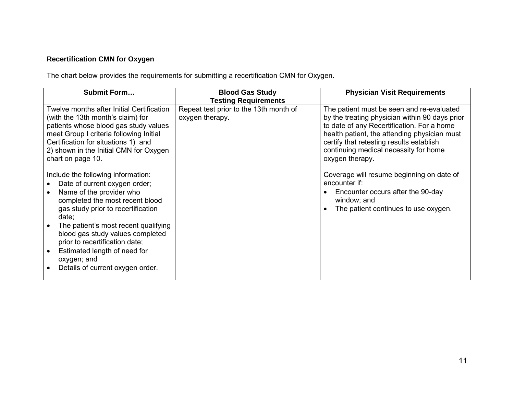# **Recertification CMN for Oxygen**

The chart below provides the requirements for submitting a recertification CMN for Oxygen.

| <b>Submit Form</b>                                                                                                                                                                                                                                                       | <b>Blood Gas Study</b>                                    | <b>Physician Visit Requirements</b>                                                                                                                                                                                                                                                               |
|--------------------------------------------------------------------------------------------------------------------------------------------------------------------------------------------------------------------------------------------------------------------------|-----------------------------------------------------------|---------------------------------------------------------------------------------------------------------------------------------------------------------------------------------------------------------------------------------------------------------------------------------------------------|
|                                                                                                                                                                                                                                                                          | <b>Testing Requirements</b>                               |                                                                                                                                                                                                                                                                                                   |
| Twelve months after Initial Certification<br>(with the 13th month's claim) for<br>patients whose blood gas study values<br>meet Group I criteria following Initial<br>Certification for situations 1) and<br>2) shown in the Initial CMN for Oxygen<br>chart on page 10. | Repeat test prior to the 13th month of<br>oxygen therapy. | The patient must be seen and re-evaluated<br>by the treating physician within 90 days prior<br>to date of any Recertification. For a home<br>health patient, the attending physician must<br>certify that retesting results establish<br>continuing medical necessity for home<br>oxygen therapy. |
| Include the following information:<br>Date of current oxygen order;<br>Name of the provider who<br>completed the most recent blood<br>gas study prior to recertification<br>date;<br>The patient's most recent qualifying<br>blood gas study values completed            |                                                           | Coverage will resume beginning on date of<br>encounter if:<br>Encounter occurs after the 90-day<br>window; and<br>The patient continues to use oxygen.<br>$\bullet$                                                                                                                               |
| prior to recertification date;<br>Estimated length of need for<br>oxygen; and<br>Details of current oxygen order.                                                                                                                                                        |                                                           |                                                                                                                                                                                                                                                                                                   |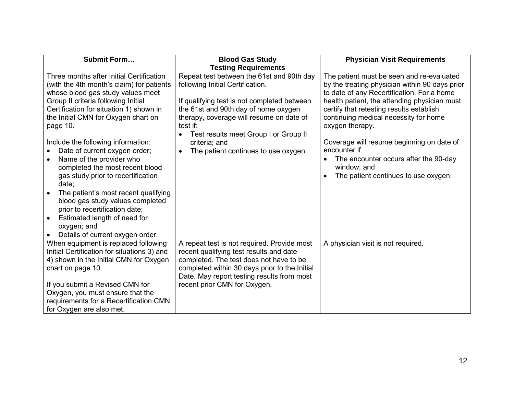| Submit Form                                                                                                                                                                                                                                                                                                                                                                                                                                                                                                                                                                                                                    | <b>Blood Gas Study</b>                                                                                                                                                                                                                                                                                                         | <b>Physician Visit Requirements</b>                                                                                                                                                                                                                                                                                                                                                                                                                                          |
|--------------------------------------------------------------------------------------------------------------------------------------------------------------------------------------------------------------------------------------------------------------------------------------------------------------------------------------------------------------------------------------------------------------------------------------------------------------------------------------------------------------------------------------------------------------------------------------------------------------------------------|--------------------------------------------------------------------------------------------------------------------------------------------------------------------------------------------------------------------------------------------------------------------------------------------------------------------------------|------------------------------------------------------------------------------------------------------------------------------------------------------------------------------------------------------------------------------------------------------------------------------------------------------------------------------------------------------------------------------------------------------------------------------------------------------------------------------|
|                                                                                                                                                                                                                                                                                                                                                                                                                                                                                                                                                                                                                                | <b>Testing Requirements</b>                                                                                                                                                                                                                                                                                                    |                                                                                                                                                                                                                                                                                                                                                                                                                                                                              |
| Three months after Initial Certification<br>(with the 4th month's claim) for patients<br>whose blood gas study values meet<br>Group II criteria following Initial<br>Certification for situation 1) shown in<br>the Initial CMN for Oxygen chart on<br>page 10.<br>Include the following information:<br>Date of current oxygen order;<br>Name of the provider who<br>completed the most recent blood<br>gas study prior to recertification<br>date;<br>The patient's most recent qualifying<br>blood gas study values completed<br>prior to recertification date;<br>Estimated length of need for<br>$\bullet$<br>oxygen; and | Repeat test between the 61st and 90th day<br>following Initial Certification.<br>If qualifying test is not completed between<br>the 61st and 90th day of home oxygen<br>therapy, coverage will resume on date of<br>test if:<br>Test results meet Group I or Group II<br>criteria; and<br>The patient continues to use oxygen. | The patient must be seen and re-evaluated<br>by the treating physician within 90 days prior<br>to date of any Recertification. For a home<br>health patient, the attending physician must<br>certify that retesting results establish<br>continuing medical necessity for home<br>oxygen therapy.<br>Coverage will resume beginning on date of<br>encounter if:<br>The encounter occurs after the 90-day<br>$\bullet$<br>window; and<br>The patient continues to use oxygen. |
| Details of current oxygen order.<br>When equipment is replaced following<br>Initial Certification for situations 3) and<br>4) shown in the Initial CMN for Oxygen<br>chart on page 10.<br>If you submit a Revised CMN for<br>Oxygen, you must ensure that the<br>requirements for a Recertification CMN<br>for Oxygen are also met.                                                                                                                                                                                                                                                                                            | A repeat test is not required. Provide most<br>recent qualifying test results and date<br>completed. The test does not have to be<br>completed within 30 days prior to the Initial<br>Date. May report testing results from most<br>recent prior CMN for Oxygen.                                                               | A physician visit is not required.                                                                                                                                                                                                                                                                                                                                                                                                                                           |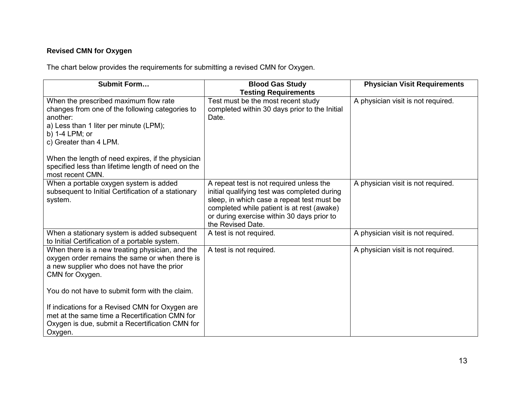# **Revised CMN for Oxygen**

The chart below provides the requirements for submitting a revised CMN for Oxygen.

| Submit Form                                                                                                                                                                                | <b>Blood Gas Study</b><br><b>Testing Requirements</b>                                                                                                                                                                                                   | <b>Physician Visit Requirements</b> |
|--------------------------------------------------------------------------------------------------------------------------------------------------------------------------------------------|---------------------------------------------------------------------------------------------------------------------------------------------------------------------------------------------------------------------------------------------------------|-------------------------------------|
| When the prescribed maximum flow rate<br>changes from one of the following categories to<br>another:<br>a) Less than 1 liter per minute (LPM);<br>b) 1-4 LPM; or<br>c) Greater than 4 LPM. | Test must be the most recent study<br>completed within 30 days prior to the Initial<br>Date.                                                                                                                                                            | A physician visit is not required.  |
| When the length of need expires, if the physician<br>specified less than lifetime length of need on the<br>most recent CMN.                                                                |                                                                                                                                                                                                                                                         |                                     |
| When a portable oxygen system is added<br>subsequent to Initial Certification of a stationary<br>system.                                                                                   | A repeat test is not required unless the<br>initial qualifying test was completed during<br>sleep, in which case a repeat test must be<br>completed while patient is at rest (awake)<br>or during exercise within 30 days prior to<br>the Revised Date. | A physician visit is not required.  |
| When a stationary system is added subsequent<br>to Initial Certification of a portable system.                                                                                             | A test is not required.                                                                                                                                                                                                                                 | A physician visit is not required.  |
| When there is a new treating physician, and the<br>oxygen order remains the same or when there is<br>a new supplier who does not have the prior<br>CMN for Oxygen.                         | A test is not required.                                                                                                                                                                                                                                 | A physician visit is not required.  |
| You do not have to submit form with the claim.                                                                                                                                             |                                                                                                                                                                                                                                                         |                                     |
| If indications for a Revised CMN for Oxygen are<br>met at the same time a Recertification CMN for<br>Oxygen is due, submit a Recertification CMN for<br>Oxygen.                            |                                                                                                                                                                                                                                                         |                                     |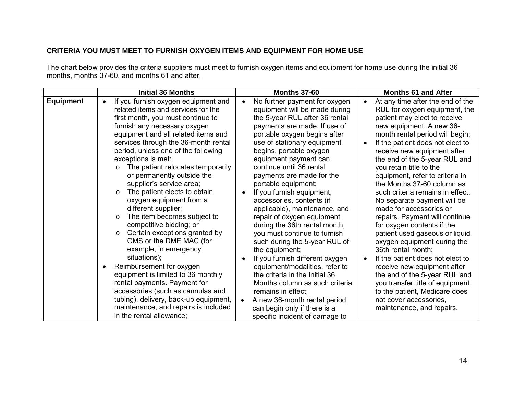#### **CRITERIA YOU MUST MEET TO FURNISH OXYGEN ITEMS AND EQUIPMENT FOR HOME USE**

The chart below provides the criteria suppliers must meet to furnish oxygen items and equipment for home use during the initial 36 months, months 37-60, and months 61 and after.

|                  | <b>Initial 36 Months</b>                                                                                                                                                                                                                                                                                                                                                                                                                                                                                                                                                                                                                                                                                                                                                                                                                                                                                                                                             | <b>Months 37-60</b>                                                                                                                                                                                                                                                                                                                                                                                                                                                                                                                                                                                                                                                                                                                                                                                                                                                                      | <b>Months 61 and After</b>                                                                                                                                                                                                                                                                                                                                                                                                                                                                                                                                                                                                                                                                                                                                                                                                                                        |
|------------------|----------------------------------------------------------------------------------------------------------------------------------------------------------------------------------------------------------------------------------------------------------------------------------------------------------------------------------------------------------------------------------------------------------------------------------------------------------------------------------------------------------------------------------------------------------------------------------------------------------------------------------------------------------------------------------------------------------------------------------------------------------------------------------------------------------------------------------------------------------------------------------------------------------------------------------------------------------------------|------------------------------------------------------------------------------------------------------------------------------------------------------------------------------------------------------------------------------------------------------------------------------------------------------------------------------------------------------------------------------------------------------------------------------------------------------------------------------------------------------------------------------------------------------------------------------------------------------------------------------------------------------------------------------------------------------------------------------------------------------------------------------------------------------------------------------------------------------------------------------------------|-------------------------------------------------------------------------------------------------------------------------------------------------------------------------------------------------------------------------------------------------------------------------------------------------------------------------------------------------------------------------------------------------------------------------------------------------------------------------------------------------------------------------------------------------------------------------------------------------------------------------------------------------------------------------------------------------------------------------------------------------------------------------------------------------------------------------------------------------------------------|
| <b>Equipment</b> | If you furnish oxygen equipment and<br>$\bullet$<br>related items and services for the<br>first month, you must continue to<br>furnish any necessary oxygen<br>equipment and all related items and<br>services through the 36-month rental<br>period, unless one of the following<br>exceptions is met:<br>The patient relocates temporarily<br>$\circ$<br>or permanently outside the<br>supplier's service area;<br>The patient elects to obtain<br>$\circ$<br>oxygen equipment from a<br>different supplier;<br>The item becomes subject to<br>$\circ$<br>competitive bidding; or<br>Certain exceptions granted by<br>$\circ$<br>CMS or the DME MAC (for<br>example, in emergency<br>situations);<br>Reimbursement for oxygen<br>$\bullet$<br>equipment is limited to 36 monthly<br>rental payments. Payment for<br>accessories (such as cannulas and<br>tubing), delivery, back-up equipment,<br>maintenance, and repairs is included<br>in the rental allowance; | No further payment for oxygen<br>$\bullet$<br>equipment will be made during<br>the 5-year RUL after 36 rental<br>payments are made. If use of<br>portable oxygen begins after<br>use of stationary equipment<br>begins, portable oxygen<br>equipment payment can<br>continue until 36 rental<br>payments are made for the<br>portable equipment;<br>If you furnish equipment,<br>$\bullet$<br>accessories, contents (if<br>applicable), maintenance, and<br>repair of oxygen equipment<br>during the 36th rental month,<br>you must continue to furnish<br>such during the 5-year RUL of<br>the equipment;<br>If you furnish different oxygen<br>equipment/modalities, refer to<br>the criteria in the Initial 36<br>Months column as such criteria<br>remains in effect;<br>A new 36-month rental period<br>$\bullet$<br>can begin only if there is a<br>specific incident of damage to | At any time after the end of the<br>$\bullet$<br>RUL for oxygen equipment, the<br>patient may elect to receive<br>new equipment. A new 36-<br>month rental period will begin;<br>If the patient does not elect to<br>receive new equipment after<br>the end of the 5-year RUL and<br>you retain title to the<br>equipment, refer to criteria in<br>the Months 37-60 column as<br>such criteria remains in effect.<br>No separate payment will be<br>made for accessories or<br>repairs. Payment will continue<br>for oxygen contents if the<br>patient used gaseous or liquid<br>oxygen equipment during the<br>36th rental month;<br>If the patient does not elect to<br>receive new equipment after<br>the end of the 5-year RUL and<br>you transfer title of equipment<br>to the patient, Medicare does<br>not cover accessories,<br>maintenance, and repairs. |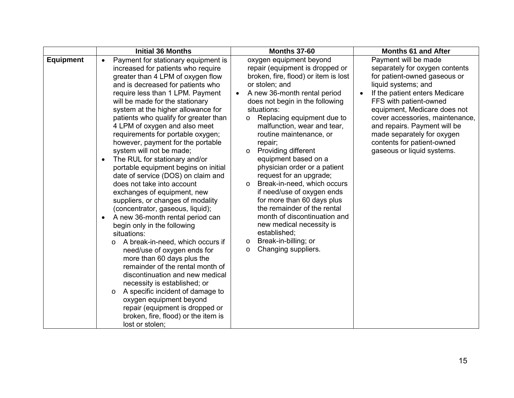|                  | <b>Initial 36 Months</b>                                                                                                                                                                                                                                                                                                                                                                                                                                                                                                                                                                                                                                                                                                                                                                                                                                                                                                                                                                                                                                                                                                                                                                                    | <b>Months 37-60</b>                                                                                                                                                                                                                                                                                                                                                                                                                                                                                                                                                                                                                                                                                                                                 | <b>Months 61 and After</b>                                                                                                                                                                                                                                                                                                                                             |
|------------------|-------------------------------------------------------------------------------------------------------------------------------------------------------------------------------------------------------------------------------------------------------------------------------------------------------------------------------------------------------------------------------------------------------------------------------------------------------------------------------------------------------------------------------------------------------------------------------------------------------------------------------------------------------------------------------------------------------------------------------------------------------------------------------------------------------------------------------------------------------------------------------------------------------------------------------------------------------------------------------------------------------------------------------------------------------------------------------------------------------------------------------------------------------------------------------------------------------------|-----------------------------------------------------------------------------------------------------------------------------------------------------------------------------------------------------------------------------------------------------------------------------------------------------------------------------------------------------------------------------------------------------------------------------------------------------------------------------------------------------------------------------------------------------------------------------------------------------------------------------------------------------------------------------------------------------------------------------------------------------|------------------------------------------------------------------------------------------------------------------------------------------------------------------------------------------------------------------------------------------------------------------------------------------------------------------------------------------------------------------------|
| <b>Equipment</b> | Payment for stationary equipment is<br>$\bullet$<br>increased for patients who require<br>greater than 4 LPM of oxygen flow<br>and is decreased for patients who<br>require less than 1 LPM. Payment<br>will be made for the stationary<br>system at the higher allowance for<br>patients who qualify for greater than<br>4 LPM of oxygen and also meet<br>requirements for portable oxygen;<br>however, payment for the portable<br>system will not be made;<br>The RUL for stationary and/or<br>portable equipment begins on initial<br>date of service (DOS) on claim and<br>does not take into account<br>exchanges of equipment, new<br>suppliers, or changes of modality<br>(concentrator, gaseous, liquid);<br>A new 36-month rental period can<br>$\bullet$<br>begin only in the following<br>situations:<br>A break-in-need, which occurs if<br>$\circ$<br>need/use of oxygen ends for<br>more than 60 days plus the<br>remainder of the rental month of<br>discontinuation and new medical<br>necessity is established; or<br>A specific incident of damage to<br>$\circ$<br>oxygen equipment beyond<br>repair (equipment is dropped or<br>broken, fire, flood) or the item is<br>lost or stolen; | oxygen equipment beyond<br>repair (equipment is dropped or<br>broken, fire, flood) or item is lost<br>or stolen; and<br>A new 36-month rental period<br>$\bullet$<br>does not begin in the following<br>situations:<br>Replacing equipment due to<br>$\circ$<br>malfunction, wear and tear,<br>routine maintenance, or<br>repair;<br><b>Providing different</b><br>$\circ$<br>equipment based on a<br>physician order or a patient<br>request for an upgrade;<br>Break-in-need, which occurs<br>$\circ$<br>if need/use of oxygen ends<br>for more than 60 days plus<br>the remainder of the rental<br>month of discontinuation and<br>new medical necessity is<br>established;<br>Break-in-billing; or<br>$\circ$<br>Changing suppliers.<br>$\circ$ | Payment will be made<br>separately for oxygen contents<br>for patient-owned gaseous or<br>liquid systems; and<br>If the patient enters Medicare<br>FFS with patient-owned<br>equipment, Medicare does not<br>cover accessories, maintenance,<br>and repairs. Payment will be<br>made separately for oxygen<br>contents for patient-owned<br>gaseous or liquid systems. |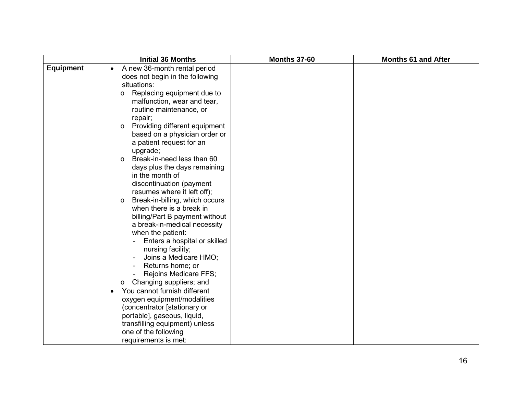|                  | <b>Initial 36 Months</b>                  | <b>Months 37-60</b> | <b>Months 61 and After</b> |
|------------------|-------------------------------------------|---------------------|----------------------------|
| <b>Equipment</b> | A new 36-month rental period<br>$\bullet$ |                     |                            |
|                  | does not begin in the following           |                     |                            |
|                  | situations:                               |                     |                            |
|                  | Replacing equipment due to<br>O           |                     |                            |
|                  | malfunction, wear and tear,               |                     |                            |
|                  | routine maintenance, or                   |                     |                            |
|                  | repair;                                   |                     |                            |
|                  | Providing different equipment<br>$\circ$  |                     |                            |
|                  | based on a physician order or             |                     |                            |
|                  | a patient request for an                  |                     |                            |
|                  | upgrade;                                  |                     |                            |
|                  | Break-in-need less than 60<br>$\circ$     |                     |                            |
|                  | days plus the days remaining              |                     |                            |
|                  | in the month of                           |                     |                            |
|                  | discontinuation (payment                  |                     |                            |
|                  | resumes where it left off);               |                     |                            |
|                  | Break-in-billing, which occurs<br>$\circ$ |                     |                            |
|                  | when there is a break in                  |                     |                            |
|                  | billing/Part B payment without            |                     |                            |
|                  | a break-in-medical necessity              |                     |                            |
|                  | when the patient:                         |                     |                            |
|                  | Enters a hospital or skilled              |                     |                            |
|                  | nursing facility;                         |                     |                            |
|                  | Joins a Medicare HMO;                     |                     |                            |
|                  | Returns home; or                          |                     |                            |
|                  | Rejoins Medicare FFS;                     |                     |                            |
|                  | Changing suppliers; and<br>$\circ$        |                     |                            |
|                  | You cannot furnish different<br>$\bullet$ |                     |                            |
|                  | oxygen equipment/modalities               |                     |                            |
|                  | (concentrator [stationary or              |                     |                            |
|                  | portable], gaseous, liquid,               |                     |                            |
|                  | transfilling equipment) unless            |                     |                            |
|                  | one of the following                      |                     |                            |
|                  | requirements is met:                      |                     |                            |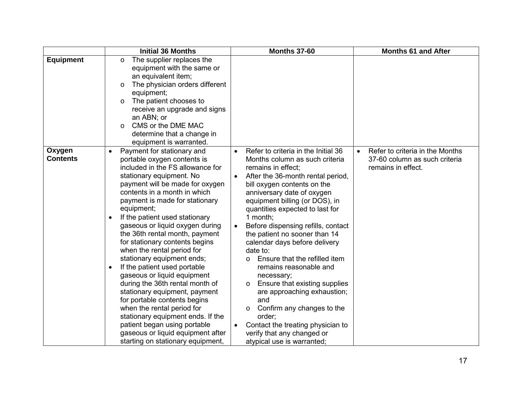|                           | <b>Initial 36 Months</b>                                                                                                                                                                                                                                                                                                                                                                                                                                                                                                                                                                                                                                                                                                                                                                                                                 | <b>Months 37-60</b>                                                                                                                                                                                                                                                                                                                                                                                                                                                                                                                                                                                                                                                                                                                                                 | <b>Months 61 and After</b>                                                                          |
|---------------------------|------------------------------------------------------------------------------------------------------------------------------------------------------------------------------------------------------------------------------------------------------------------------------------------------------------------------------------------------------------------------------------------------------------------------------------------------------------------------------------------------------------------------------------------------------------------------------------------------------------------------------------------------------------------------------------------------------------------------------------------------------------------------------------------------------------------------------------------|---------------------------------------------------------------------------------------------------------------------------------------------------------------------------------------------------------------------------------------------------------------------------------------------------------------------------------------------------------------------------------------------------------------------------------------------------------------------------------------------------------------------------------------------------------------------------------------------------------------------------------------------------------------------------------------------------------------------------------------------------------------------|-----------------------------------------------------------------------------------------------------|
| <b>Equipment</b>          | The supplier replaces the<br>$\circ$<br>equipment with the same or<br>an equivalent item;<br>The physician orders different<br>$\circ$<br>equipment;<br>The patient chooses to<br>$\circ$<br>receive an upgrade and signs<br>an ABN; or<br>CMS or the DME MAC<br>$\circ$<br>determine that a change in<br>equipment is warranted.                                                                                                                                                                                                                                                                                                                                                                                                                                                                                                        |                                                                                                                                                                                                                                                                                                                                                                                                                                                                                                                                                                                                                                                                                                                                                                     |                                                                                                     |
| Oxygen<br><b>Contents</b> | Payment for stationary and<br>$\bullet$<br>portable oxygen contents is<br>included in the FS allowance for<br>stationary equipment. No<br>payment will be made for oxygen<br>contents in a month in which<br>payment is made for stationary<br>equipment;<br>If the patient used stationary<br>$\bullet$<br>gaseous or liquid oxygen during<br>the 36th rental month, payment<br>for stationary contents begins<br>when the rental period for<br>stationary equipment ends;<br>If the patient used portable<br>$\bullet$<br>gaseous or liquid equipment<br>during the 36th rental month of<br>stationary equipment, payment<br>for portable contents begins<br>when the rental period for<br>stationary equipment ends. If the<br>patient began using portable<br>gaseous or liquid equipment after<br>starting on stationary equipment, | Refer to criteria in the Initial 36<br>$\bullet$<br>Months column as such criteria<br>remains in effect;<br>After the 36-month rental period,<br>$\bullet$<br>bill oxygen contents on the<br>anniversary date of oxygen<br>equipment billing (or DOS), in<br>quantities expected to last for<br>1 month:<br>Before dispensing refills, contact<br>the patient no sooner than 14<br>calendar days before delivery<br>date to:<br>Ensure that the refilled item<br>$\circ$<br>remains reasonable and<br>necessary;<br>Ensure that existing supplies<br>$\circ$<br>are approaching exhaustion;<br>and<br>Confirm any changes to the<br>$\circ$<br>order:<br>Contact the treating physician to<br>$\bullet$<br>verify that any changed or<br>atypical use is warranted; | Refer to criteria in the Months<br>$\bullet$<br>37-60 column as such criteria<br>remains in effect. |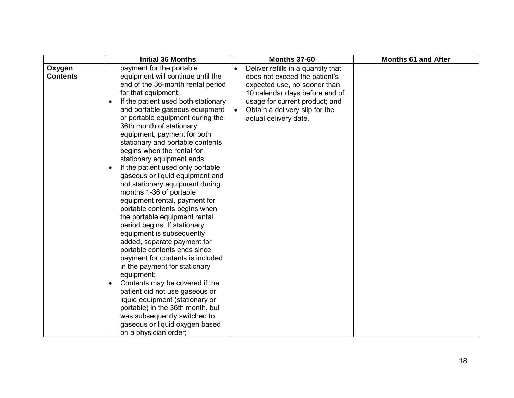|                           | <b>Initial 36 Months</b>                                                                                                                                                                                                                                                                                                                                                                                                                                                                                                                                                                                                                                                                                                                                                                                                                                                                                                                                                                                                                                                                                                               | <b>Months 37-60</b>                                                                                                                                                                                                                | <b>Months 61 and After</b> |
|---------------------------|----------------------------------------------------------------------------------------------------------------------------------------------------------------------------------------------------------------------------------------------------------------------------------------------------------------------------------------------------------------------------------------------------------------------------------------------------------------------------------------------------------------------------------------------------------------------------------------------------------------------------------------------------------------------------------------------------------------------------------------------------------------------------------------------------------------------------------------------------------------------------------------------------------------------------------------------------------------------------------------------------------------------------------------------------------------------------------------------------------------------------------------|------------------------------------------------------------------------------------------------------------------------------------------------------------------------------------------------------------------------------------|----------------------------|
| Oxygen<br><b>Contents</b> | payment for the portable<br>equipment will continue until the<br>end of the 36-month rental period<br>for that equipment;<br>If the patient used both stationary<br>$\bullet$<br>and portable gaseous equipment<br>or portable equipment during the<br>36th month of stationary<br>equipment, payment for both<br>stationary and portable contents<br>begins when the rental for<br>stationary equipment ends;<br>If the patient used only portable<br>$\bullet$<br>gaseous or liquid equipment and<br>not stationary equipment during<br>months 1-36 of portable<br>equipment rental, payment for<br>portable contents begins when<br>the portable equipment rental<br>period begins. If stationary<br>equipment is subsequently<br>added, separate payment for<br>portable contents ends since<br>payment for contents is included<br>in the payment for stationary<br>equipment;<br>Contents may be covered if the<br>$\bullet$<br>patient did not use gaseous or<br>liquid equipment (stationary or<br>portable) in the 36th month, but<br>was subsequently switched to<br>gaseous or liquid oxygen based<br>on a physician order; | Deliver refills in a quantity that<br>does not exceed the patient's<br>expected use, no sooner than<br>10 calendar days before end of<br>usage for current product; and<br>Obtain a delivery slip for the<br>actual delivery date. |                            |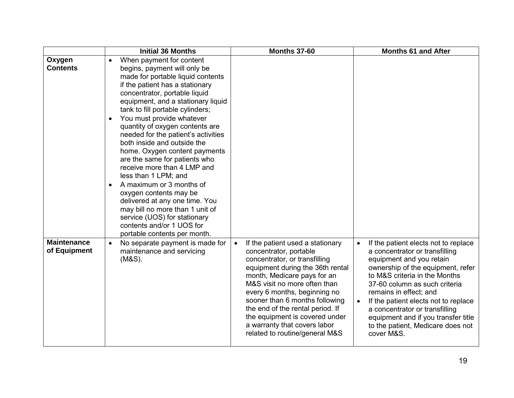|                                    | <b>Initial 36 Months</b>                                                                                                                                                                                                                                                                                                                                                                                                                                                                                                                                                                                                                                                                                                                                                  | <b>Months 37-60</b>                                                                                                                                                                                                                                                                                                                                                                                                   | <b>Months 61 and After</b>                                                                                                                                                                                                                                                                                                                                                                                           |
|------------------------------------|---------------------------------------------------------------------------------------------------------------------------------------------------------------------------------------------------------------------------------------------------------------------------------------------------------------------------------------------------------------------------------------------------------------------------------------------------------------------------------------------------------------------------------------------------------------------------------------------------------------------------------------------------------------------------------------------------------------------------------------------------------------------------|-----------------------------------------------------------------------------------------------------------------------------------------------------------------------------------------------------------------------------------------------------------------------------------------------------------------------------------------------------------------------------------------------------------------------|----------------------------------------------------------------------------------------------------------------------------------------------------------------------------------------------------------------------------------------------------------------------------------------------------------------------------------------------------------------------------------------------------------------------|
| Oxygen<br><b>Contents</b>          | When payment for content<br>$\bullet$<br>begins, payment will only be<br>made for portable liquid contents<br>if the patient has a stationary<br>concentrator, portable liquid<br>equipment, and a stationary liquid<br>tank to fill portable cylinders;<br>You must provide whatever<br>$\bullet$<br>quantity of oxygen contents are<br>needed for the patient's activities<br>both inside and outside the<br>home. Oxygen content payments<br>are the same for patients who<br>receive more than 4 LMP and<br>less than 1 LPM; and<br>A maximum or 3 months of<br>$\bullet$<br>oxygen contents may be<br>delivered at any one time. You<br>may bill no more than 1 unit of<br>service (UOS) for stationary<br>contents and/or 1 UOS for<br>portable contents per month. |                                                                                                                                                                                                                                                                                                                                                                                                                       |                                                                                                                                                                                                                                                                                                                                                                                                                      |
| <b>Maintenance</b><br>of Equipment | No separate payment is made for<br>$\bullet$<br>maintenance and servicing<br>$(M&S)$ .                                                                                                                                                                                                                                                                                                                                                                                                                                                                                                                                                                                                                                                                                    | If the patient used a stationary<br>$\bullet$<br>concentrator, portable<br>concentrator, or transfilling<br>equipment during the 36th rental<br>month, Medicare pays for an<br>M&S visit no more often than<br>every 6 months, beginning no<br>sooner than 6 months following<br>the end of the rental period. If<br>the equipment is covered under<br>a warranty that covers labor<br>related to routine/general M&S | If the patient elects not to replace<br>a concentrator or transfilling<br>equipment and you retain<br>ownership of the equipment, refer<br>to M&S criteria in the Months<br>37-60 column as such criteria<br>remains in effect; and<br>If the patient elects not to replace<br>$\bullet$<br>a concentrator or transfilling<br>equipment and if you transfer title<br>to the patient, Medicare does not<br>cover M&S. |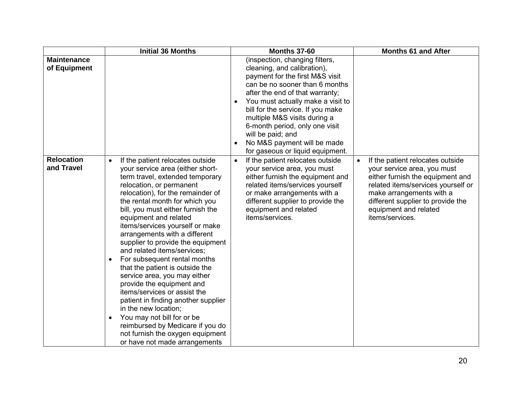|                                    | <b>Initial 36 Months</b>                                                                                                                                                                                                                                                                                                                                                                                                                                                                                                                                                                                                                                                                                                                                                                                                      | <b>Months 37-60</b>                                                                                                                                                                                                                                                                                                                                                                                       | <b>Months 61 and After</b>                                                                                                                                                                                                                                          |
|------------------------------------|-------------------------------------------------------------------------------------------------------------------------------------------------------------------------------------------------------------------------------------------------------------------------------------------------------------------------------------------------------------------------------------------------------------------------------------------------------------------------------------------------------------------------------------------------------------------------------------------------------------------------------------------------------------------------------------------------------------------------------------------------------------------------------------------------------------------------------|-----------------------------------------------------------------------------------------------------------------------------------------------------------------------------------------------------------------------------------------------------------------------------------------------------------------------------------------------------------------------------------------------------------|---------------------------------------------------------------------------------------------------------------------------------------------------------------------------------------------------------------------------------------------------------------------|
| <b>Maintenance</b><br>of Equipment |                                                                                                                                                                                                                                                                                                                                                                                                                                                                                                                                                                                                                                                                                                                                                                                                                               | (inspection, changing filters,<br>cleaning, and calibration),<br>payment for the first M&S visit<br>can be no sooner than 6 months<br>after the end of that warranty;<br>You must actually make a visit to<br>bill for the service. If you make<br>multiple M&S visits during a<br>6-month period, only one visit<br>will be paid; and<br>No M&S payment will be made<br>for gaseous or liquid equipment. |                                                                                                                                                                                                                                                                     |
| <b>Relocation</b><br>and Travel    | If the patient relocates outside<br>$\bullet$<br>your service area (either short-<br>term travel, extended temporary<br>relocation, or permanent<br>relocation), for the remainder of<br>the rental month for which you<br>bill, you must either furnish the<br>equipment and related<br>items/services yourself or make<br>arrangements with a different<br>supplier to provide the equipment<br>and related items/services;<br>For subsequent rental months<br>$\bullet$<br>that the patient is outside the<br>service area, you may either<br>provide the equipment and<br>items/services or assist the<br>patient in finding another supplier<br>in the new location;<br>You may not bill for or be<br>$\bullet$<br>reimbursed by Medicare if you do<br>not furnish the oxygen equipment<br>or have not made arrangements | If the patient relocates outside<br>$\bullet$<br>your service area, you must<br>either furnish the equipment and<br>related items/services yourself<br>or make arrangements with a<br>different supplier to provide the<br>equipment and related<br>items/services.                                                                                                                                       | If the patient relocates outside<br>$\bullet$<br>your service area, you must<br>either furnish the equipment and<br>related items/services yourself or<br>make arrangements with a<br>different supplier to provide the<br>equipment and related<br>items/services. |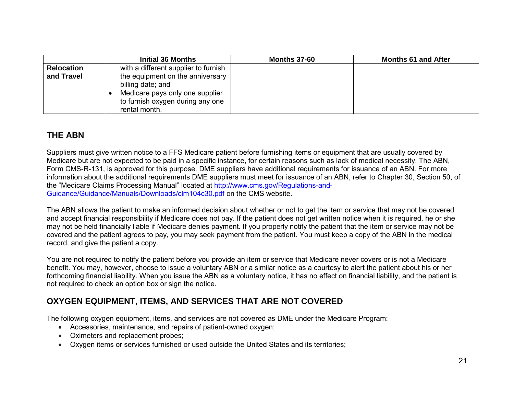|                   | Initial 36 Months                                                                                                                             | <b>Months 37-60</b> | <b>Months 61 and After</b> |
|-------------------|-----------------------------------------------------------------------------------------------------------------------------------------------|---------------------|----------------------------|
| <b>Relocation</b> | with a different supplier to furnish                                                                                                          |                     |                            |
| and Travel        | the equipment on the anniversary<br>billing date; and<br>Medicare pays only one supplier<br>to furnish oxygen during any one<br>rental month. |                     |                            |

### **THE ABN**

Suppliers must give written notice to a FFS Medicare patient before furnishing items or equipment that are usually covered by Medicare but are not expected to be paid in a specific instance, for certain reasons such as lack of medical necessity. The ABN, Form CMS-R-131, is approved for this purpose. DME suppliers have additional requirements for issuance of an ABN. For more information about the additional requirements DME suppliers must meet for issuance of an ABN, refer to Chapter 30, Section 50, of the "Medicare Claims Processing Manual" located at [http://www.cms.gov/Regulations-and-](http://www.cms.gov/Regulations-and-Guidance/Guidance/Manuals/Downloads/clm104c30.pdf)[Guidance/Guidance/Manuals/Downloads/clm104c30.pdf](http://www.cms.gov/Regulations-and-Guidance/Guidance/Manuals/Downloads/clm104c30.pdf) on the CMS website.

The ABN allows the patient to make an informed decision about whether or not to get the item or service that may not be covered and accept financial responsibility if Medicare does not pay. If the patient does not get written notice when it is required, he or she may not be held financially liable if Medicare denies payment. If you properly notify the patient that the item or service may not be covered and the patient agrees to pay, you may seek payment from the patient. You must keep a copy of the ABN in the medical record, and give the patient a copy.

You are not required to notify the patient before you provide an item or service that Medicare never covers or is not a Medicare benefit. You may, however, choose to issue a voluntary ABN or a similar notice as a courtesy to alert the patient about his or her forthcoming financial liability. When you issue the ABN as a voluntary notice, it has no effect on financial liability, and the patient is not required to check an option box or sign the notice.

## **OXYGEN EQUIPMENT, ITEMS, AND SERVICES THAT ARE NOT COVERED**

The following oxygen equipment, items, and services are not covered as DME under the Medicare Program:

- Accessories, maintenance, and repairs of patient-owned oxygen;
- Oximeters and replacement probes;
- Oxygen items or services furnished or used outside the United States and its territories;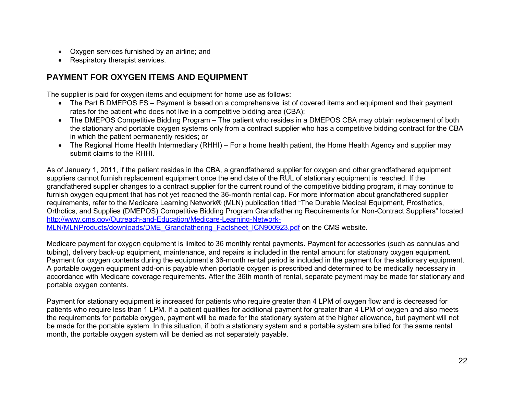- Oxygen services furnished by an airline; and
- Respiratory therapist services.

## **PAYMENT FOR OXYGEN ITEMS AND EQUIPMENT**

The supplier is paid for oxygen items and equipment for home use as follows:

- The Part B DMEPOS FS Payment is based on a comprehensive list of covered items and equipment and their payment rates for the patient who does not live in a competitive bidding area (CBA);
- The DMEPOS Competitive Bidding Program The patient who resides in a DMEPOS CBA may obtain replacement of both the stationary and portable oxygen systems only from a contract supplier who has a competitive bidding contract for the CBA in which the patient permanently resides; or
- The Regional Home Health Intermediary (RHHI) For a home health patient, the Home Health Agency and supplier may submit claims to the RHHI.

As of January 1, 2011, if the patient resides in the CBA, a grandfathered supplier for oxygen and other grandfathered equipment suppliers cannot furnish replacement equipment once the end date of the RUL of stationary equipment is reached. If the grandfathered supplier changes to a contract supplier for the current round of the competitive bidding program, it may continue to furnish oxygen equipment that has not yet reached the 36-month rental cap. For more information about grandfathered supplier requirements, refer to the Medicare Learning Network® (MLN) publication titled "The Durable Medical Equipment, Prosthetics, Orthotics, and Supplies (DMEPOS) Competitive Bidding Program Grandfathering Requirements for Non-Contract Suppliers" located [http://www.cms.gov/Outreach-and-Education/Medicare-Learning-Network-](http://www.cms.gov/Outreach-and-Education/Medicare-Learning-Network-MLN/MLNProducts/downloads/DME_Grandfathering_Factsheet_ICN900923.pdf)

[MLN/MLNProducts/downloads/DME\\_Grandfathering\\_Factsheet\\_ICN900923.pdf](http://www.cms.gov/Outreach-and-Education/Medicare-Learning-Network-MLN/MLNProducts/downloads/DME_Grandfathering_Factsheet_ICN900923.pdf) on the CMS website.

Medicare payment for oxygen equipment is limited to 36 monthly rental payments. Payment for accessories (such as cannulas and tubing), delivery back-up equipment, maintenance, and repairs is included in the rental amount for stationary oxygen equipment. Payment for oxygen contents during the equipment's 36-month rental period is included in the payment for the stationary equipment. A portable oxygen equipment add-on is payable when portable oxygen is prescribed and determined to be medically necessary in accordance with Medicare coverage requirements. After the 36th month of rental, separate payment may be made for stationary and portable oxygen contents.

Payment for stationary equipment is increased for patients who require greater than 4 LPM of oxygen flow and is decreased for patients who require less than 1 LPM. If a patient qualifies for additional payment for greater than 4 LPM of oxygen and also meets the requirements for portable oxygen, payment will be made for the stationary system at the higher allowance, but payment will not be made for the portable system. In this situation, if both a stationary system and a portable system are billed for the same rental month, the portable oxygen system will be denied as not separately payable.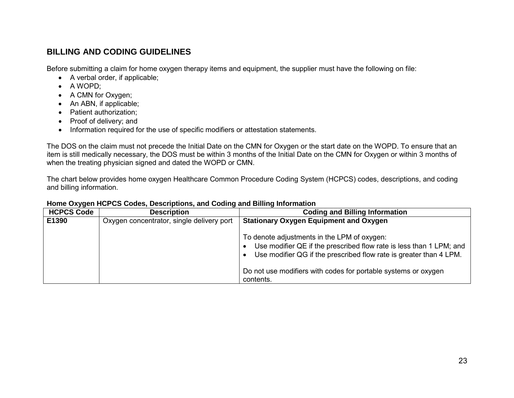### **BILLING AND CODING GUIDELINES**

Before submitting a claim for home oxygen therapy items and equipment, the supplier must have the following on file:

- A verbal order, if applicable;
- A WOPD;
- A CMN for Oxygen;
- An ABN, if applicable;
- Patient authorization;
- Proof of delivery; and
- Information required for the use of specific modifiers or attestation statements.

The DOS on the claim must not precede the Initial Date on the CMN for Oxygen or the start date on the WOPD. To ensure that an item is still medically necessary, the DOS must be within 3 months of the Initial Date on the CMN for Oxygen or within 3 months of when the treating physician signed and dated the WOPD or CMN.

The chart below provides home oxygen Healthcare Common Procedure Coding System (HCPCS) codes, descriptions, and coding and billing information.

| .<br><b>HCPCS Code</b> | <b>Description</b>                        | <b>Coding and Billing Information</b>                                                                                                                                                    |
|------------------------|-------------------------------------------|------------------------------------------------------------------------------------------------------------------------------------------------------------------------------------------|
| E1390                  | Oxygen concentrator, single delivery port | <b>Stationary Oxygen Equipment and Oxygen</b>                                                                                                                                            |
|                        |                                           | To denote adjustments in the LPM of oxygen:<br>Use modifier QE if the prescribed flow rate is less than 1 LPM; and<br>Use modifier QG if the prescribed flow rate is greater than 4 LPM. |
|                        |                                           | Do not use modifiers with codes for portable systems or oxygen<br>contents.                                                                                                              |

#### **Home Oxygen HCPCS Codes, Descriptions, and Coding and Billing Information**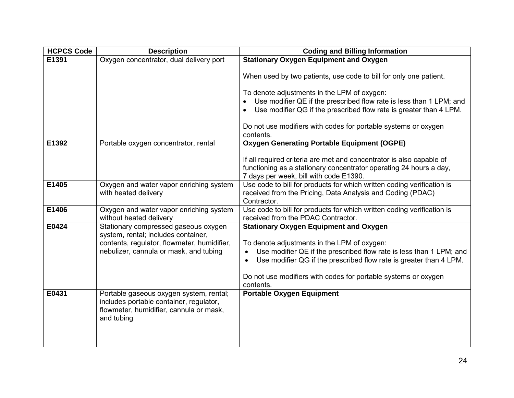| <b>HCPCS Code</b> | <b>Description</b>                                                                                                                          | <b>Coding and Billing Information</b>                                                                                                                                                |
|-------------------|---------------------------------------------------------------------------------------------------------------------------------------------|--------------------------------------------------------------------------------------------------------------------------------------------------------------------------------------|
| E1391             | Oxygen concentrator, dual delivery port                                                                                                     | <b>Stationary Oxygen Equipment and Oxygen</b>                                                                                                                                        |
|                   |                                                                                                                                             | When used by two patients, use code to bill for only one patient.                                                                                                                    |
|                   |                                                                                                                                             | To denote adjustments in the LPM of oxygen:                                                                                                                                          |
|                   |                                                                                                                                             | Use modifier QE if the prescribed flow rate is less than 1 LPM; and                                                                                                                  |
|                   |                                                                                                                                             | Use modifier QG if the prescribed flow rate is greater than 4 LPM.                                                                                                                   |
|                   |                                                                                                                                             | Do not use modifiers with codes for portable systems or oxygen<br>contents.                                                                                                          |
| E1392             | Portable oxygen concentrator, rental                                                                                                        | <b>Oxygen Generating Portable Equipment (OGPE)</b>                                                                                                                                   |
|                   |                                                                                                                                             | If all required criteria are met and concentrator is also capable of<br>functioning as a stationary concentrator operating 24 hours a day,<br>7 days per week, bill with code E1390. |
| E1405             | Oxygen and water vapor enriching system<br>with heated delivery                                                                             | Use code to bill for products for which written coding verification is<br>received from the Pricing, Data Analysis and Coding (PDAC)<br>Contractor.                                  |
| E1406             | Oxygen and water vapor enriching system<br>without heated delivery                                                                          | Use code to bill for products for which written coding verification is<br>received from the PDAC Contractor.                                                                         |
| E0424             | Stationary compressed gaseous oxygen<br>system, rental; includes container,                                                                 | <b>Stationary Oxygen Equipment and Oxygen</b>                                                                                                                                        |
|                   | contents, regulator, flowmeter, humidifier,                                                                                                 | To denote adjustments in the LPM of oxygen:                                                                                                                                          |
|                   | nebulizer, cannula or mask, and tubing                                                                                                      | Use modifier QE if the prescribed flow rate is less than 1 LPM; and<br>$\bullet$                                                                                                     |
|                   |                                                                                                                                             | Use modifier QG if the prescribed flow rate is greater than 4 LPM.<br>$\bullet$                                                                                                      |
|                   |                                                                                                                                             | Do not use modifiers with codes for portable systems or oxygen                                                                                                                       |
|                   |                                                                                                                                             | contents.                                                                                                                                                                            |
| E0431             | Portable gaseous oxygen system, rental;<br>includes portable container, regulator,<br>flowmeter, humidifier, cannula or mask,<br>and tubing | <b>Portable Oxygen Equipment</b>                                                                                                                                                     |
|                   |                                                                                                                                             |                                                                                                                                                                                      |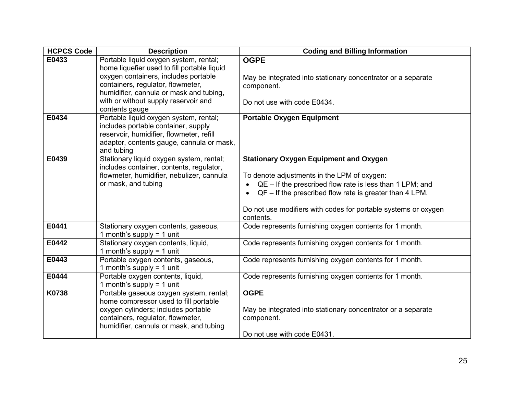| <b>HCPCS Code</b> | <b>Description</b>                                                                                                                                                                                                                                                      | <b>Coding and Billing Information</b>                                                                                                                                                                                                                                                                |
|-------------------|-------------------------------------------------------------------------------------------------------------------------------------------------------------------------------------------------------------------------------------------------------------------------|------------------------------------------------------------------------------------------------------------------------------------------------------------------------------------------------------------------------------------------------------------------------------------------------------|
| E0433             | Portable liquid oxygen system, rental;<br>home liquefier used to fill portable liquid<br>oxygen containers, includes portable<br>containers, regulator, flowmeter,<br>humidifier, cannula or mask and tubing,<br>with or without supply reservoir and<br>contents gauge | <b>OGPE</b><br>May be integrated into stationary concentrator or a separate<br>component.<br>Do not use with code E0434.                                                                                                                                                                             |
| E0434             | Portable liquid oxygen system, rental;<br>includes portable container, supply<br>reservoir, humidifier, flowmeter, refill<br>adaptor, contents gauge, cannula or mask,<br>and tubing                                                                                    | <b>Portable Oxygen Equipment</b>                                                                                                                                                                                                                                                                     |
| E0439             | Stationary liquid oxygen system, rental;<br>includes container, contents, regulator,<br>flowmeter, humidifier, nebulizer, cannula<br>or mask, and tubing                                                                                                                | <b>Stationary Oxygen Equipment and Oxygen</b><br>To denote adjustments in the LPM of oxygen:<br>$QE - If the prescribed flow rate is less than 1 LPM; and$<br>QF - If the prescribed flow rate is greater than 4 LPM.<br>Do not use modifiers with codes for portable systems or oxygen<br>contents. |
| E0441             | Stationary oxygen contents, gaseous,<br>1 month's supply = $1$ unit                                                                                                                                                                                                     | Code represents furnishing oxygen contents for 1 month.                                                                                                                                                                                                                                              |
| E0442             | Stationary oxygen contents, liquid,<br>1 month's supply = $1$ unit                                                                                                                                                                                                      | Code represents furnishing oxygen contents for 1 month.                                                                                                                                                                                                                                              |
| E0443             | Portable oxygen contents, gaseous,<br>1 month's supply = $1$ unit                                                                                                                                                                                                       | Code represents furnishing oxygen contents for 1 month.                                                                                                                                                                                                                                              |
| E0444             | Portable oxygen contents, liquid,<br>1 month's supply = $1$ unit                                                                                                                                                                                                        | Code represents furnishing oxygen contents for 1 month.                                                                                                                                                                                                                                              |
| K0738             | Portable gaseous oxygen system, rental;<br>home compressor used to fill portable<br>oxygen cylinders; includes portable<br>containers, regulator, flowmeter,<br>humidifier, cannula or mask, and tubing                                                                 | <b>OGPE</b><br>May be integrated into stationary concentrator or a separate<br>component.<br>Do not use with code E0431.                                                                                                                                                                             |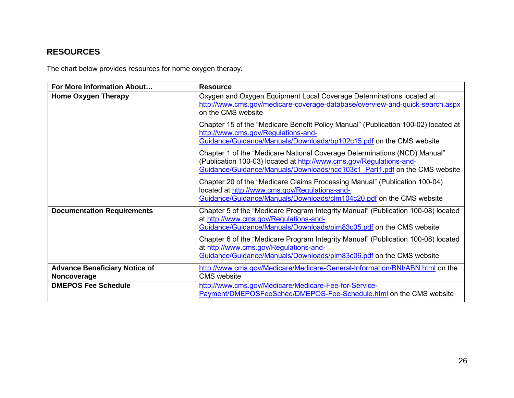# **RESOURCES**

The chart below provides resources for home oxygen therapy.

| For More Information About                          | <b>Resource</b>                                                                                                                                                                                                               |
|-----------------------------------------------------|-------------------------------------------------------------------------------------------------------------------------------------------------------------------------------------------------------------------------------|
| <b>Home Oxygen Therapy</b>                          | Oxygen and Oxygen Equipment Local Coverage Determinations located at<br>http://www.cms.gov/medicare-coverage-database/overview-and-quick-search.aspx<br>on the CMS website                                                    |
|                                                     | Chapter 15 of the "Medicare Benefit Policy Manual" (Publication 100-02) located at<br>http://www.cms.gov/Regulations-and-<br>Guidance/Guidance/Manuals/Downloads/bp102c15.pdf on the CMS website                              |
|                                                     | Chapter 1 of the "Medicare National Coverage Determinations (NCD) Manual"<br>(Publication 100-03) located at http://www.cms.gov/Regulations-and-<br>Guidance/Guidance/Manuals/Downloads/ncd103c1 Part1.pdf on the CMS website |
|                                                     | Chapter 20 of the "Medicare Claims Processing Manual" (Publication 100-04)<br>located at http://www.cms.gov/Regulations-and-<br>Guidance/Guidance/Manuals/Downloads/clm104c20.pdf on the CMS website                          |
| <b>Documentation Requirements</b>                   | Chapter 5 of the "Medicare Program Integrity Manual" (Publication 100-08) located<br>at http://www.cms.gov/Regulations-and-<br>Guidance/Guidance/Manuals/Downloads/pim83c05.pdf on the CMS website                            |
|                                                     | Chapter 6 of the "Medicare Program Integrity Manual" (Publication 100-08) located<br>at http://www.cms.gov/Regulations-and-<br>Guidance/Guidance/Manuals/Downloads/pim83c06.pdf on the CMS website                            |
| <b>Advance Beneficiary Notice of</b><br>Noncoverage | http://www.cms.gov/Medicare/Medicare-General-Information/BNI/ABN.html on the<br><b>CMS</b> website                                                                                                                            |
| <b>DMEPOS Fee Schedule</b>                          | http://www.cms.gov/Medicare/Medicare-Fee-for-Service-<br>Payment/DMEPOSFeeSched/DMEPOS-Fee-Schedule.html on the CMS website                                                                                                   |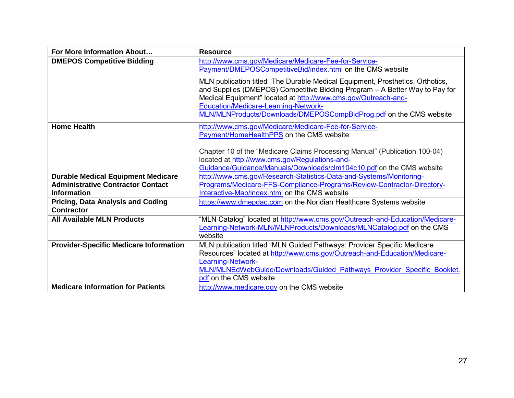| For More Information About                                    | <b>Resource</b>                                                                                                                                                                                                                                                                                                                               |
|---------------------------------------------------------------|-----------------------------------------------------------------------------------------------------------------------------------------------------------------------------------------------------------------------------------------------------------------------------------------------------------------------------------------------|
| <b>DMEPOS Competitive Bidding</b>                             | http://www.cms.gov/Medicare/Medicare-Fee-for-Service-<br>Payment/DMEPOSCompetitiveBid/index.html on the CMS website                                                                                                                                                                                                                           |
|                                                               | MLN publication titled "The Durable Medical Equipment, Prosthetics, Orthotics,<br>and Supplies (DMEPOS) Competitive Bidding Program - A Better Way to Pay for<br>Medical Equipment" located at http://www.cms.gov/Outreach-and-<br>Education/Medicare-Learning-Network-<br>MLN/MLNProducts/Downloads/DMEPOSCompBidProg.pdf on the CMS website |
| <b>Home Health</b>                                            | http://www.cms.gov/Medicare/Medicare-Fee-for-Service-<br>Payment/HomeHealthPPS on the CMS website                                                                                                                                                                                                                                             |
|                                                               | Chapter 10 of the "Medicare Claims Processing Manual" (Publication 100-04)<br>located at http://www.cms.gov/Regulations-and-<br>Guidance/Guidance/Manuals/Downloads/clm104c10.pdf on the CMS website                                                                                                                                          |
| <b>Durable Medical Equipment Medicare</b>                     | http://www.cms.gov/Research-Statistics-Data-and-Systems/Monitoring-                                                                                                                                                                                                                                                                           |
| <b>Administrative Contractor Contact</b>                      | Programs/Medicare-FFS-Compliance-Programs/Review-Contractor-Directory-                                                                                                                                                                                                                                                                        |
| <b>Information</b>                                            | Interactive-Map/index.html on the CMS website                                                                                                                                                                                                                                                                                                 |
| <b>Pricing, Data Analysis and Coding</b><br><b>Contractor</b> | https://www.dmepdac.com on the Noridian Healthcare Systems website                                                                                                                                                                                                                                                                            |
| <b>All Available MLN Products</b>                             | "MLN Catalog" located at http://www.cms.gov/Outreach-and-Education/Medicare-<br>Learning-Network-MLN/MLNProducts/Downloads/MLNCatalog.pdf on the CMS<br>website                                                                                                                                                                               |
| <b>Provider-Specific Medicare Information</b>                 | MLN publication titled "MLN Guided Pathways: Provider Specific Medicare<br>Resources" located at http://www.cms.gov/Outreach-and-Education/Medicare-<br><b>Learning-Network-</b><br>MLN/MLNEdWebGuide/Downloads/Guided Pathways Provider Specific Booklet.<br>pdf on the CMS website                                                          |
| <b>Medicare Information for Patients</b>                      | http://www.medicare.gov on the CMS website                                                                                                                                                                                                                                                                                                    |